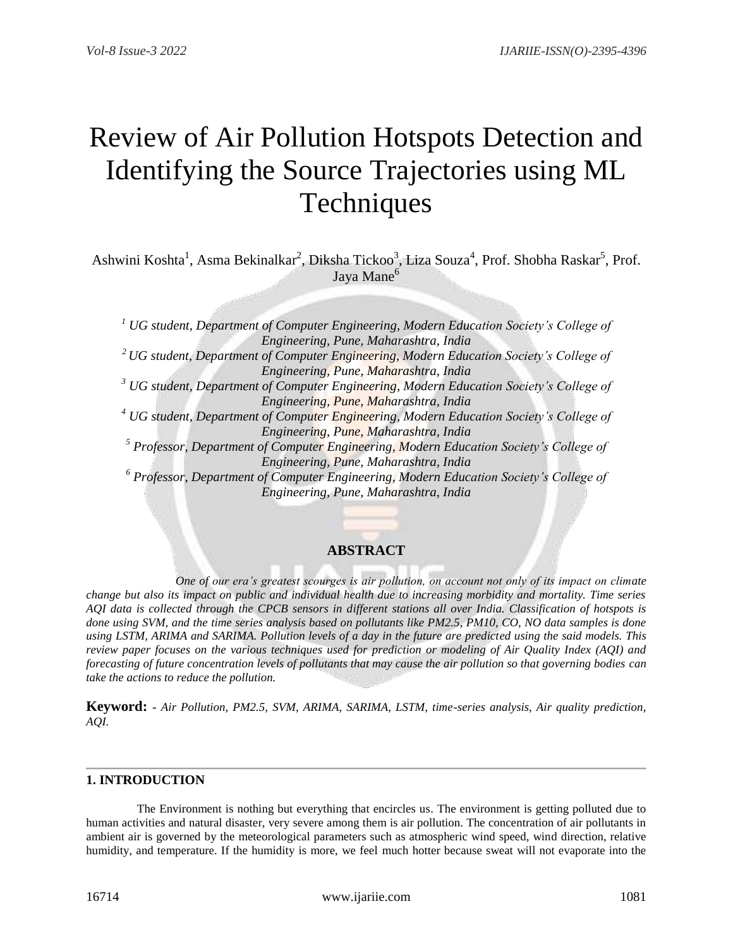# Review of Air Pollution Hotspots Detection and Identifying the Source Trajectories using ML **Techniques**

Ashwini Koshta<sup>1</sup>, Asma Bekinalkar<sup>2</sup>, Diksha Tickoo<sup>3</sup>, Liza Souza<sup>4</sup>, Prof. Shobha Raskar<sup>5</sup>, Prof. Jaya Mane<sup>6</sup>

*<sup>1</sup> UG student, Department of Computer Engineering, Modern Education Society's College of Engineering, Pune, Maharashtra, India <sup>2</sup> UG student, Department of Computer Engineering, Modern Education Society's College of Engineering, Pune, Maharashtra, India <sup>3</sup> UG student, Department of Computer Engineering, Modern Education Society's College of Engineering, Pune, Maharashtra, India <sup>4</sup> UG student, Department of Computer Engineering, Modern Education Society's College of Engineering, Pune, Maharashtra, India <sup>5</sup> Professor, Department of Computer Engineering, Modern Education Society's College of Engineering, Pune, Maharashtra, India <sup>6</sup> Professor, Department of Computer Engineering, Modern Education Society's College of Engineering, Pune, Maharashtra, India*

# **ABSTRACT**

 *One of our era's greatest scourges is air pollution, on account not only of its impact on climate change but also its impact on public and individual health due to increasing morbidity and mortality. Time series AQI data is collected through the CPCB sensors in different stations all over India. Classification of hotspots is done using SVM, and the time series analysis based on pollutants like PM2.5, PM10, CO, NO data samples is done using LSTM, ARIMA and SARIMA. Pollution levels of a day in the future are predicted using the said models. This review paper focuses on the various techniques used for prediction or modeling of Air Quality Index (AQI) and forecasting of future concentration levels of pollutants that may cause the air pollution so that governing bodies can take the actions to reduce the pollution.*

**Keyword: -** *Air Pollution, PM2.5, SVM, ARIMA, SARIMA, LSTM, time-series analysis, Air quality prediction, AQI.* 

## **1. INTRODUCTION**

 The Environment is nothing but everything that encircles us. The environment is getting polluted due to human activities and natural disaster, very severe among them is air pollution. The concentration of air pollutants in ambient air is governed by the meteorological parameters such as atmospheric wind speed, wind direction, relative humidity, and temperature. If the humidity is more, we feel much hotter because sweat will not evaporate into the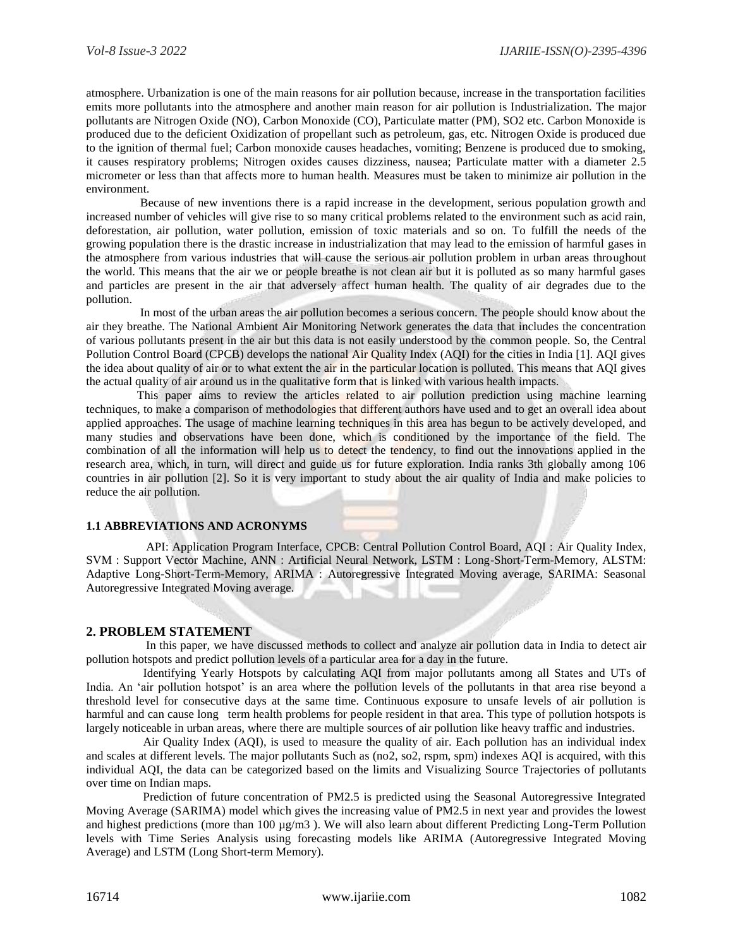atmosphere. Urbanization is one of the main reasons for air pollution because, increase in the transportation facilities emits more pollutants into the atmosphere and another main reason for air pollution is Industrialization. The major pollutants are Nitrogen Oxide (NO), Carbon Monoxide (CO), Particulate matter (PM), SO2 etc. Carbon Monoxide is produced due to the deficient Oxidization of propellant such as petroleum, gas, etc. Nitrogen Oxide is produced due to the ignition of thermal fuel; Carbon monoxide causes headaches, vomiting; Benzene is produced due to smoking, it causes respiratory problems; Nitrogen oxides causes dizziness, nausea; Particulate matter with a diameter 2.5 micrometer or less than that affects more to human health. Measures must be taken to minimize air pollution in the environment.

 Because of new inventions there is a rapid increase in the development, serious population growth and increased number of vehicles will give rise to so many critical problems related to the environment such as acid rain, deforestation, air pollution, water pollution, emission of toxic materials and so on. To fulfill the needs of the growing population there is the drastic increase in industrialization that may lead to the emission of harmful gases in the atmosphere from various industries that will cause the serious air pollution problem in urban areas throughout the world. This means that the air we or people breathe is not clean air but it is polluted as so many harmful gases and particles are present in the air that adversely affect human health. The quality of air degrades due to the pollution.

 In most of the urban areas the air pollution becomes a serious concern. The people should know about the air they breathe. The National Ambient Air Monitoring Network generates the data that includes the concentration of various pollutants present in the air but this data is not easily understood by the common people. So, the Central Pollution Control Board (CPCB) develops the national Air Quality Index (AQI) for the cities in India [1]. AQI gives the idea about quality of air or to what extent the air in the particular location is polluted. This means that AQI gives the actual quality of air around us in the qualitative form that is linked with various health impacts.

This paper aims to review the articles related to air pollution prediction using machine learning techniques, to make a comparison of methodologies that different authors have used and to get an overall idea about applied approaches. The usage of machine learning techniques in this area has begun to be actively developed, and many studies and observations have been done, which is conditioned by the importance of the field. The combination of all the information will help us to detect the tendency, to find out the innovations applied in the research area, which, in turn, will direct and guide us for future exploration. India ranks 3th globally among 106 countries in air pollution [2]. So it is very important to study about the air quality of India and make policies to reduce the air pollution.

## **1.1 ABBREVIATIONS AND ACRONYMS**

 API: Application Program Interface, CPCB: Central Pollution Control Board, AQI : Air Quality Index, SVM : Support Vector Machine, ANN : Artificial Neural Network, LSTM : Long-Short-Term-Memory, ALSTM: Adaptive Long-Short-Term-Memory, ARIMA : Autoregressive Integrated Moving average, SARIMA: Seasonal Autoregressive Integrated Moving average.

### **2. PROBLEM STATEMENT**

 In this paper, we have discussed methods to collect and analyze air pollution data in India to detect air pollution hotspots and predict pollution levels of a particular area for a day in the future.

 Identifying Yearly Hotspots by calculating AQI from major pollutants among all States and UTs of India. An 'air pollution hotspot' is an area where the pollution levels of the pollutants in that area rise beyond a threshold level for consecutive days at the same time. Continuous exposure to unsafe levels of air pollution is harmful and can cause long term health problems for people resident in that area. This type of pollution hotspots is largely noticeable in urban areas, where there are multiple sources of air pollution like heavy traffic and industries.

 Air Quality Index (AQI), is used to measure the quality of air. Each pollution has an individual index and scales at different levels. The major pollutants Such as (no2, so2, rspm, spm) indexes AQI is acquired, with this individual AQI, the data can be categorized based on the limits and Visualizing Source Trajectories of pollutants over time on Indian maps.

 Prediction of future concentration of PM2.5 is predicted using the Seasonal Autoregressive Integrated Moving Average (SARIMA) model which gives the increasing value of PM2.5 in next year and provides the lowest and highest predictions (more than  $100 \mu g/m3$ ). We will also learn about different Predicting Long-Term Pollution levels with Time Series Analysis using forecasting models like ARIMA (Autoregressive Integrated Moving Average) and LSTM (Long Short-term Memory).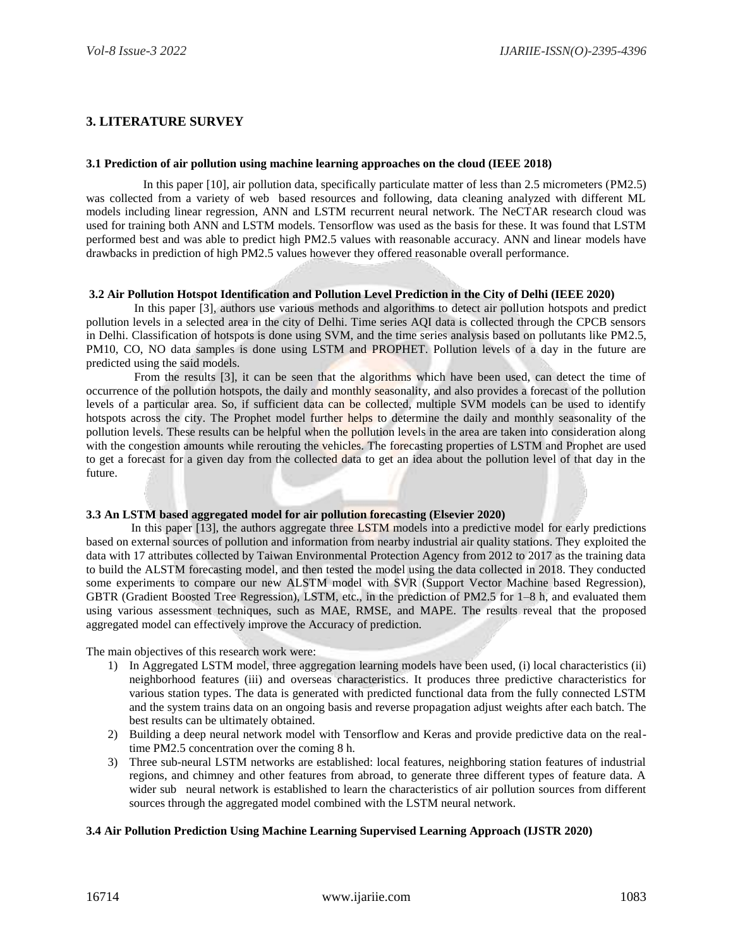# **3. LITERATURE SURVEY**

#### **3.1 Prediction of air pollution using machine learning approaches on the cloud (IEEE 2018)**

 In this paper [10], air pollution data, specifically particulate matter of less than 2.5 micrometers (PM2.5) was collected from a variety of web based resources and following, data cleaning analyzed with different ML models including linear regression, ANN and LSTM recurrent neural network. The NeCTAR research cloud was used for training both ANN and LSTM models. Tensorflow was used as the basis for these. It was found that LSTM performed best and was able to predict high PM2.5 values with reasonable accuracy. ANN and linear models have drawbacks in prediction of high PM2.5 values however they offered reasonable overall performance.

## **3.2 Air Pollution Hotspot Identification and Pollution Level Prediction in the City of Delhi (IEEE 2020)**

 In this paper [3], authors use various methods and algorithms to detect air pollution hotspots and predict pollution levels in a selected area in the city of Delhi. Time series AQI data is collected through the CPCB sensors in Delhi. Classification of hotspots is done using SVM, and the time series analysis based on pollutants like PM2.5, PM10, CO, NO data samples is done using LSTM and PROPHET. Pollution levels of a day in the future are predicted using the said models.

 From the results [3], it can be seen that the algorithms which have been used, can detect the time of occurrence of the pollution hotspots, the daily and monthly seasonality, and also provides a forecast of the pollution levels of a particular area. So, if sufficient data can be collected, multiple SVM models can be used to identify hotspots across the city. The Prophet model further helps to determine the daily and monthly seasonality of the pollution levels. These results can be helpful when the pollution levels in the area are taken into consideration along with the congestion amounts while rerouting the vehicles. The forecasting properties of LSTM and Prophet are used to get a forecast for a given day from the collected data to get an idea about the pollution level of that day in the future.

## **3.3 An LSTM based aggregated model for air pollution forecasting (Elsevier 2020)**

In this paper [13], the authors aggregate three LSTM models into a predictive model for early predictions based on external sources of pollution and information from nearby industrial air quality stations. They exploited the data with 17 attributes collected by Taiwan Environmental Protection Agency from 2012 to 2017 as the training data to build the ALSTM forecasting model, and then tested the model using the data collected in 2018. They conducted some experiments to compare our new ALSTM model with SVR (Support Vector Machine based Regression), GBTR (Gradient Boosted Tree Regression), LSTM, etc., in the prediction of PM2.5 for 1–8 h, and evaluated them using various assessment techniques, such as MAE, RMSE, and MAPE. The results reveal that the proposed aggregated model can effectively improve the Accuracy of prediction.

The main objectives of this research work were:

- 1) In Aggregated LSTM model, three aggregation learning models have been used, (i) local characteristics (ii) neighborhood features (iii) and overseas characteristics. It produces three predictive characteristics for various station types. The data is generated with predicted functional data from the fully connected LSTM and the system trains data on an ongoing basis and reverse propagation adjust weights after each batch. The best results can be ultimately obtained.
- 2) Building a deep neural network model with Tensorflow and Keras and provide predictive data on the realtime PM2.5 concentration over the coming 8 h.
- 3) Three sub-neural LSTM networks are established: local features, neighboring station features of industrial regions, and chimney and other features from abroad, to generate three different types of feature data. A wider sub neural network is established to learn the characteristics of air pollution sources from different sources through the aggregated model combined with the LSTM neural network.

#### **3.4 Air Pollution Prediction Using Machine Learning Supervised Learning Approach (IJSTR 2020)**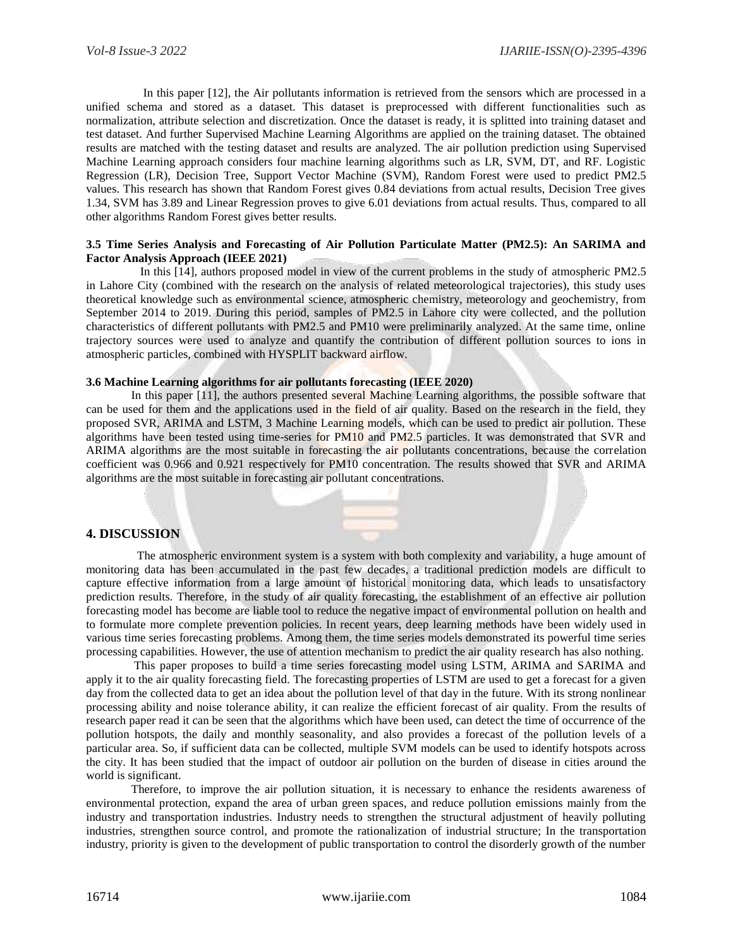In this paper [12], the Air pollutants information is retrieved from the sensors which are processed in a unified schema and stored as a dataset. This dataset is preprocessed with different functionalities such as normalization, attribute selection and discretization. Once the dataset is ready, it is splitted into training dataset and test dataset. And further Supervised Machine Learning Algorithms are applied on the training dataset. The obtained results are matched with the testing dataset and results are analyzed. The air pollution prediction using Supervised Machine Learning approach considers four machine learning algorithms such as LR, SVM, DT, and RF. Logistic Regression (LR), Decision Tree, Support Vector Machine (SVM), Random Forest were used to predict PM2.5 values. This research has shown that Random Forest gives 0.84 deviations from actual results, Decision Tree gives 1.34, SVM has 3.89 and Linear Regression proves to give 6.01 deviations from actual results. Thus, compared to all other algorithms Random Forest gives better results.

#### **3.5 Time Series Analysis and Forecasting of Air Pollution Particulate Matter (PM2.5): An SARIMA and Factor Analysis Approach (IEEE 2021)**

 In this [14], authors proposed model in view of the current problems in the study of atmospheric PM2.5 in Lahore City (combined with the research on the analysis of related meteorological trajectories), this study uses theoretical knowledge such as environmental science, atmospheric chemistry, meteorology and geochemistry, from September 2014 to 2019. During this period, samples of PM2.5 in Lahore city were collected, and the pollution characteristics of different pollutants with PM2.5 and PM10 were preliminarily analyzed. At the same time, online trajectory sources were used to analyze and quantify the contribution of different pollution sources to ions in atmospheric particles, combined with HYSPLIT backward airflow.

#### **3.6 Machine Learning algorithms for air pollutants forecasting (IEEE 2020)**

In this paper [11], the authors presented several Machine Learning algorithms, the possible software that can be used for them and the applications used in the field of air quality. Based on the research in the field, they proposed SVR, ARIMA and LSTM, 3 Machine Learning models, which can be used to predict air pollution. These algorithms have been tested using time-series for PM10 and PM2.5 particles. It was demonstrated that SVR and ARIMA algorithms are the most suitable in forecasting the air pollutants concentrations, because the correlation coefficient was 0.966 and 0.921 respectively for PM10 concentration. The results showed that SVR and ARIMA algorithms are the most suitable in forecasting air pollutant concentrations.

## **4. DISCUSSION**

 The atmospheric environment system is a system with both complexity and variability, a huge amount of monitoring data has been accumulated in the past few decades, a traditional prediction models are difficult to capture effective information from a large amount of historical monitoring data, which leads to unsatisfactory prediction results. Therefore, in the study of air quality forecasting, the establishment of an effective air pollution forecasting model has become are liable tool to reduce the negative impact of environmental pollution on health and to formulate more complete prevention policies. In recent years, deep learning methods have been widely used in various time series forecasting problems. Among them, the time series models demonstrated its powerful time series processing capabilities. However, the use of attention mechanism to predict the air quality research has also nothing.

 This paper proposes to build a time series forecasting model using LSTM, ARIMA and SARIMA and apply it to the air quality forecasting field. The forecasting properties of LSTM are used to get a forecast for a given day from the collected data to get an idea about the pollution level of that day in the future. With its strong nonlinear processing ability and noise tolerance ability, it can realize the efficient forecast of air quality. From the results of research paper read it can be seen that the algorithms which have been used, can detect the time of occurrence of the pollution hotspots, the daily and monthly seasonality, and also provides a forecast of the pollution levels of a particular area. So, if sufficient data can be collected, multiple SVM models can be used to identify hotspots across the city. It has been studied that the impact of outdoor air pollution on the burden of disease in cities around the world is significant.

 Therefore, to improve the air pollution situation, it is necessary to enhance the residents awareness of environmental protection, expand the area of urban green spaces, and reduce pollution emissions mainly from the industry and transportation industries. Industry needs to strengthen the structural adjustment of heavily polluting industries, strengthen source control, and promote the rationalization of industrial structure; In the transportation industry, priority is given to the development of public transportation to control the disorderly growth of the number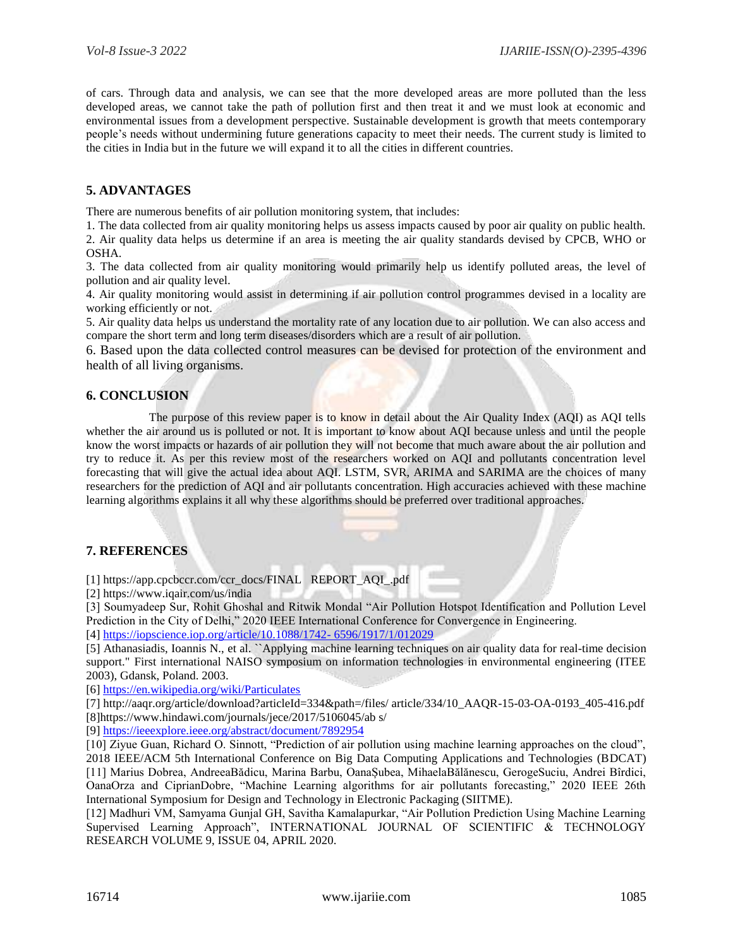of cars. Through data and analysis, we can see that the more developed areas are more polluted than the less developed areas, we cannot take the path of pollution first and then treat it and we must look at economic and environmental issues from a development perspective. Sustainable development is growth that meets contemporary people's needs without undermining future generations capacity to meet their needs. The current study is limited to the cities in India but in the future we will expand it to all the cities in different countries.

# **5. ADVANTAGES**

There are numerous benefits of air pollution monitoring system, that includes:

1. The data collected from air quality monitoring helps us assess impacts caused by poor air quality on public health. 2. Air quality data helps us determine if an area is meeting the air quality standards devised by CPCB, WHO or OSHA.

3. The data collected from air quality monitoring would primarily help us identify polluted areas, the level of pollution and air quality level.

4. Air quality monitoring would assist in determining if air pollution control programmes devised in a locality are working efficiently or not.

5. Air quality data helps us understand the mortality rate of any location due to air pollution. We can also access and compare the short term and long term diseases/disorders which are a result of air pollution.

6. Based upon the data collected control measures can be devised for protection of the environment and health of all living organisms.

## **6. CONCLUSION**

The purpose of this review paper is to know in detail about the Air Quality Index (AQI) as AQI tells whether the air around us is polluted or not. It is important to know about AQI because unless and until the people know the worst impacts or hazards of air pollution they will not become that much aware about the air pollution and try to reduce it. As per this review most of the researchers worked on AQI and pollutants concentration level forecasting that will give the actual idea about AQI. LSTM, SVR, ARIMA and SARIMA are the choices of many researchers for the prediction of AQI and air pollutants concentration. High accuracies achieved with these machine learning algorithms explains it all why these algorithms should be preferred over traditional approaches.

## **7. REFERENCES**

[1] https://app.cpcbccr.com/ccr\_docs/FINAL REPORT\_AQI\_.pdf

[2] https://www.iqair.com/us/india

[3] Soumyadeep Sur, Rohit Ghoshal and Ritwik Mondal "Air Pollution Hotspot Identification and Pollution Level Prediction in the City of Delhi," 2020 IEEE International Conference for Convergence in Engineering.

[4] [https://iopscience.iop.org/article/10.1088/1742-](https://iopscience.iop.org/article/10.1088/1742-%206596/1917/1/012029) 6596/1917/1/012029

[5] Athanasiadis, Ioannis N., et al. ``Applying machine learning techniques on air quality data for real-time decision support." First international NAISO symposium on information technologies in environmental engineering (ITEE 2003), Gdansk, Poland. 2003.

[6]<https://en.wikipedia.org/wiki/Particulates>

[7] http://aaqr.org/article/download?articleId=334&path=/files/ article/334/10\_AAQR-15-03-OA-0193\_405-416.pdf [8]https://www.hindawi.com/journals/jece/2017/5106045/ab s/

[9]<https://ieeexplore.ieee.org/abstract/document/7892954>

[10] Ziyue Guan, Richard O. Sinnott, "Prediction of air pollution using machine learning approaches on the cloud", 2018 IEEE/ACM 5th International Conference on Big Data Computing Applications and Technologies (BDCAT) [11] Marius Dobrea, AndreeaBădicu, Marina Barbu, OanaȘubea, MihaelaBălănescu, GerogeSuciu, Andrei Bîrdici, OanaOrza and CiprianDobre, "Machine Learning algorithms for air pollutants forecasting," 2020 IEEE 26th International Symposium for Design and Technology in Electronic Packaging (SIITME).

[12] Madhuri VM, Samyama Gunjal GH, Savitha Kamalapurkar, "Air Pollution Prediction Using Machine Learning Supervised Learning Approach", INTERNATIONAL JOURNAL OF SCIENTIFIC & TECHNOLOGY RESEARCH VOLUME 9, ISSUE 04, APRIL 2020.